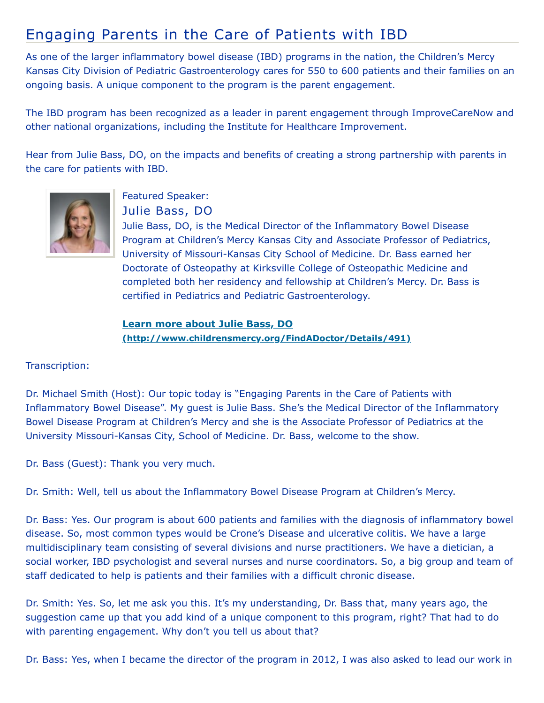## Engaging Parents in the Care of Patients with IBD

As one of the larger inflammatory bowel disease (IBD) programs in the nation, the Children's Mercy Kansas City Division of Pediatric Gastroenterology cares for 550 to 600 patients and their families on an ongoing basis. A unique component to the program is the parent engagement.

The IBD program has been recognized as a leader in parent engagement through ImproveCareNow and other national organizations, including the Institute for Healthcare Improvement.

Hear from Julie Bass, DO, on the impacts and benefits of creating a strong partnership with parents in the care for patients with IBD.



Featured Speaker: Julie Bass, DO

Julie Bass, DO, is the Medical Director of the Inflammatory Bowel Disease Program at Children's Mercy Kansas City and Associate Professor of Pediatrics, University of Missouri-Kansas City School of Medicine. Dr. Bass earned her Doctorate of Osteopathy at Kirksville College of Osteopathic Medicine and completed both her residency and fellowship at Children's Mercy. Dr. Bass is certified in Pediatrics and Pediatric Gastroenterology.

**Learn more about Julie Bass, DO [\(http://www.childrensmercy.org/FindADoctor/Details/491\)](http://www.childrensmercy.org/FindADoctor/Details/491)**

Transcription:

Dr. Michael Smith (Host): Our topic today is "Engaging Parents in the Care of Patients with Inflammatory Bowel Disease". My guest is Julie Bass. She's the Medical Director of the Inflammatory Bowel Disease Program at Children's Mercy and she is the Associate Professor of Pediatrics at the University Missouri-Kansas City, School of Medicine. Dr. Bass, welcome to the show.

Dr. Bass (Guest): Thank you very much.

Dr. Smith: Well, tell us about the Inflammatory Bowel Disease Program at Children's Mercy.

Dr. Bass: Yes. Our program is about 600 patients and families with the diagnosis of inflammatory bowel disease. So, most common types would be Crone's Disease and ulcerative colitis. We have a large multidisciplinary team consisting of several divisions and nurse practitioners. We have a dietician, a social worker, IBD psychologist and several nurses and nurse coordinators. So, a big group and team of staff dedicated to help is patients and their families with a difficult chronic disease.

Dr. Smith: Yes. So, let me ask you this. It's my understanding, Dr. Bass that, many years ago, the suggestion came up that you add kind of a unique component to this program, right? That had to do with parenting engagement. Why don't you tell us about that?

Dr. Bass: Yes, when I became the director of the program in 2012, I was also asked to lead our work in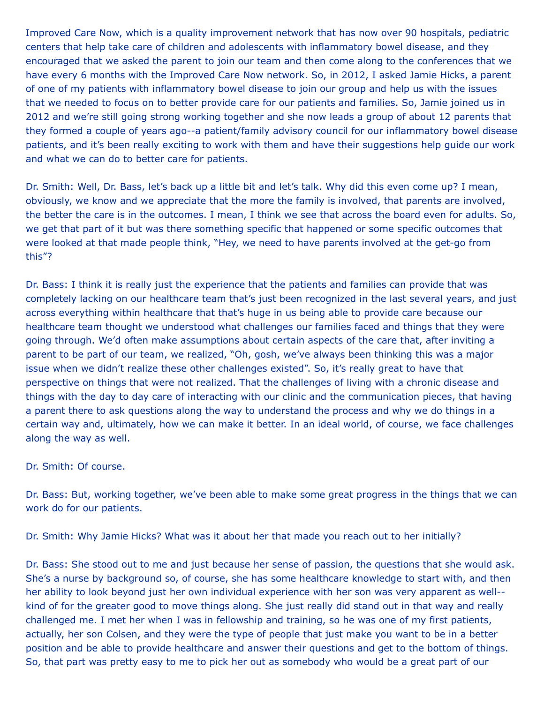Improved Care Now, which is a quality improvement network that has now over 90 hospitals, pediatric centers that help take care of children and adolescents with inflammatory bowel disease, and they encouraged that we asked the parent to join our team and then come along to the conferences that we have every 6 months with the Improved Care Now network. So, in 2012, I asked Jamie Hicks, a parent of one of my patients with inflammatory bowel disease to join our group and help us with the issues that we needed to focus on to better provide care for our patients and families. So, Jamie joined us in 2012 and we're still going strong working together and she now leads a group of about 12 parents that they formed a couple of years ago--a patient/family advisory council for our inflammatory bowel disease patients, and it's been really exciting to work with them and have their suggestions help guide our work and what we can do to better care for patients.

Dr. Smith: Well, Dr. Bass, let's back up a little bit and let's talk. Why did this even come up? I mean, obviously, we know and we appreciate that the more the family is involved, that parents are involved, the better the care is in the outcomes. I mean, I think we see that across the board even for adults. So, we get that part of it but was there something specific that happened or some specific outcomes that were looked at that made people think, "Hey, we need to have parents involved at the get-go from this"?

Dr. Bass: I think it is really just the experience that the patients and families can provide that was completely lacking on our healthcare team that's just been recognized in the last several years, and just across everything within healthcare that that's huge in us being able to provide care because our healthcare team thought we understood what challenges our families faced and things that they were going through. We'd often make assumptions about certain aspects of the care that, after inviting a parent to be part of our team, we realized, "Oh, gosh, we've always been thinking this was a major issue when we didn't realize these other challenges existed". So, it's really great to have that perspective on things that were not realized. That the challenges of living with a chronic disease and things with the day to day care of interacting with our clinic and the communication pieces, that having a parent there to ask questions along the way to understand the process and why we do things in a certain way and, ultimately, how we can make it better. In an ideal world, of course, we face challenges along the way as well.

## Dr. Smith: Of course.

Dr. Bass: But, working together, we've been able to make some great progress in the things that we can work do for our patients.

Dr. Smith: Why Jamie Hicks? What was it about her that made you reach out to her initially?

Dr. Bass: She stood out to me and just because her sense of passion, the questions that she would ask. She's a nurse by background so, of course, she has some healthcare knowledge to start with, and then her ability to look beyond just her own individual experience with her son was very apparent as well- kind of for the greater good to move things along. She just really did stand out in that way and really challenged me. I met her when I was in fellowship and training, so he was one of my first patients, actually, her son Colsen, and they were the type of people that just make you want to be in a better position and be able to provide healthcare and answer their questions and get to the bottom of things. So, that part was pretty easy to me to pick her out as somebody who would be a great part of our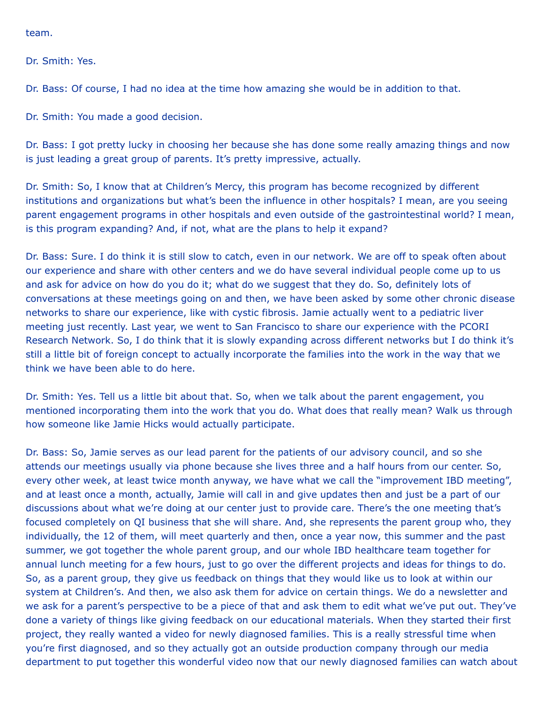team.

Dr. Smith: Yes.

Dr. Bass: Of course, I had no idea at the time how amazing she would be in addition to that.

Dr. Smith: You made a good decision.

Dr. Bass: I got pretty lucky in choosing her because she has done some really amazing things and now is just leading a great group of parents. It's pretty impressive, actually.

Dr. Smith: So, I know that at Children's Mercy, this program has become recognized by different institutions and organizations but what's been the influence in other hospitals? I mean, are you seeing parent engagement programs in other hospitals and even outside of the gastrointestinal world? I mean, is this program expanding? And, if not, what are the plans to help it expand?

Dr. Bass: Sure. I do think it is still slow to catch, even in our network. We are off to speak often about our experience and share with other centers and we do have several individual people come up to us and ask for advice on how do you do it; what do we suggest that they do. So, definitely lots of conversations at these meetings going on and then, we have been asked by some other chronic disease networks to share our experience, like with cystic fibrosis. Jamie actually went to a pediatric liver meeting just recently. Last year, we went to San Francisco to share our experience with the PCORI Research Network. So, I do think that it is slowly expanding across different networks but I do think it's still a little bit of foreign concept to actually incorporate the families into the work in the way that we think we have been able to do here.

Dr. Smith: Yes. Tell us a little bit about that. So, when we talk about the parent engagement, you mentioned incorporating them into the work that you do. What does that really mean? Walk us through how someone like Jamie Hicks would actually participate.

Dr. Bass: So, Jamie serves as our lead parent for the patients of our advisory council, and so she attends our meetings usually via phone because she lives three and a half hours from our center. So, every other week, at least twice month anyway, we have what we call the "improvement IBD meeting", and at least once a month, actually, Jamie will call in and give updates then and just be a part of our discussions about what we're doing at our center just to provide care. There's the one meeting that's focused completely on QI business that she will share. And, she represents the parent group who, they individually, the 12 of them, will meet quarterly and then, once a year now, this summer and the past summer, we got together the whole parent group, and our whole IBD healthcare team together for annual lunch meeting for a few hours, just to go over the different projects and ideas for things to do. So, as a parent group, they give us feedback on things that they would like us to look at within our system at Children's. And then, we also ask them for advice on certain things. We do a newsletter and we ask for a parent's perspective to be a piece of that and ask them to edit what we've put out. They've done a variety of things like giving feedback on our educational materials. When they started their first project, they really wanted a video for newly diagnosed families. This is a really stressful time when you're first diagnosed, and so they actually got an outside production company through our media department to put together this wonderful video now that our newly diagnosed families can watch about